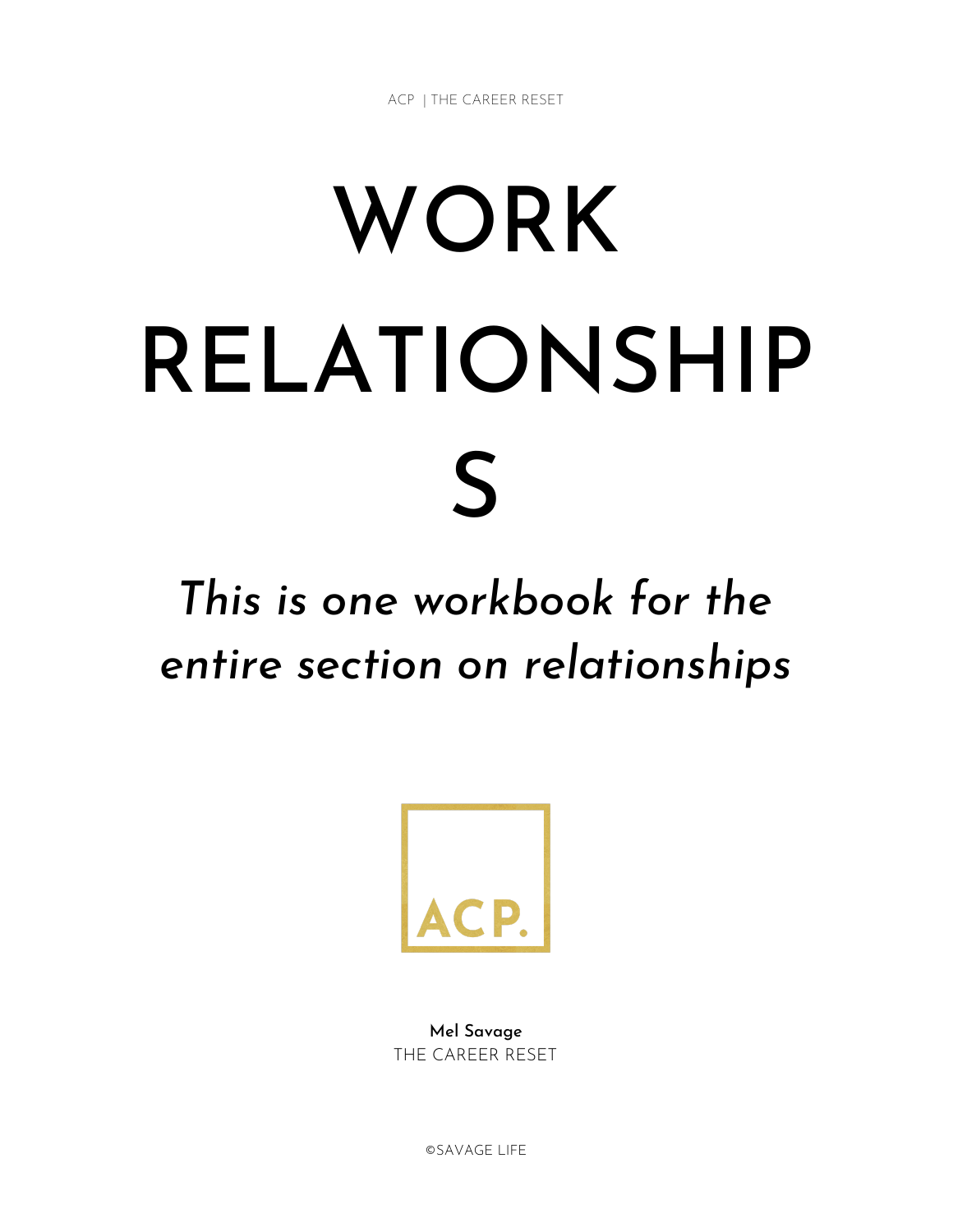# WORK RELATIONSHIP S

*This is one workbook for the entire section on relationships*



Mel Savage THE CAREER RESET

©SAVAGE LIFE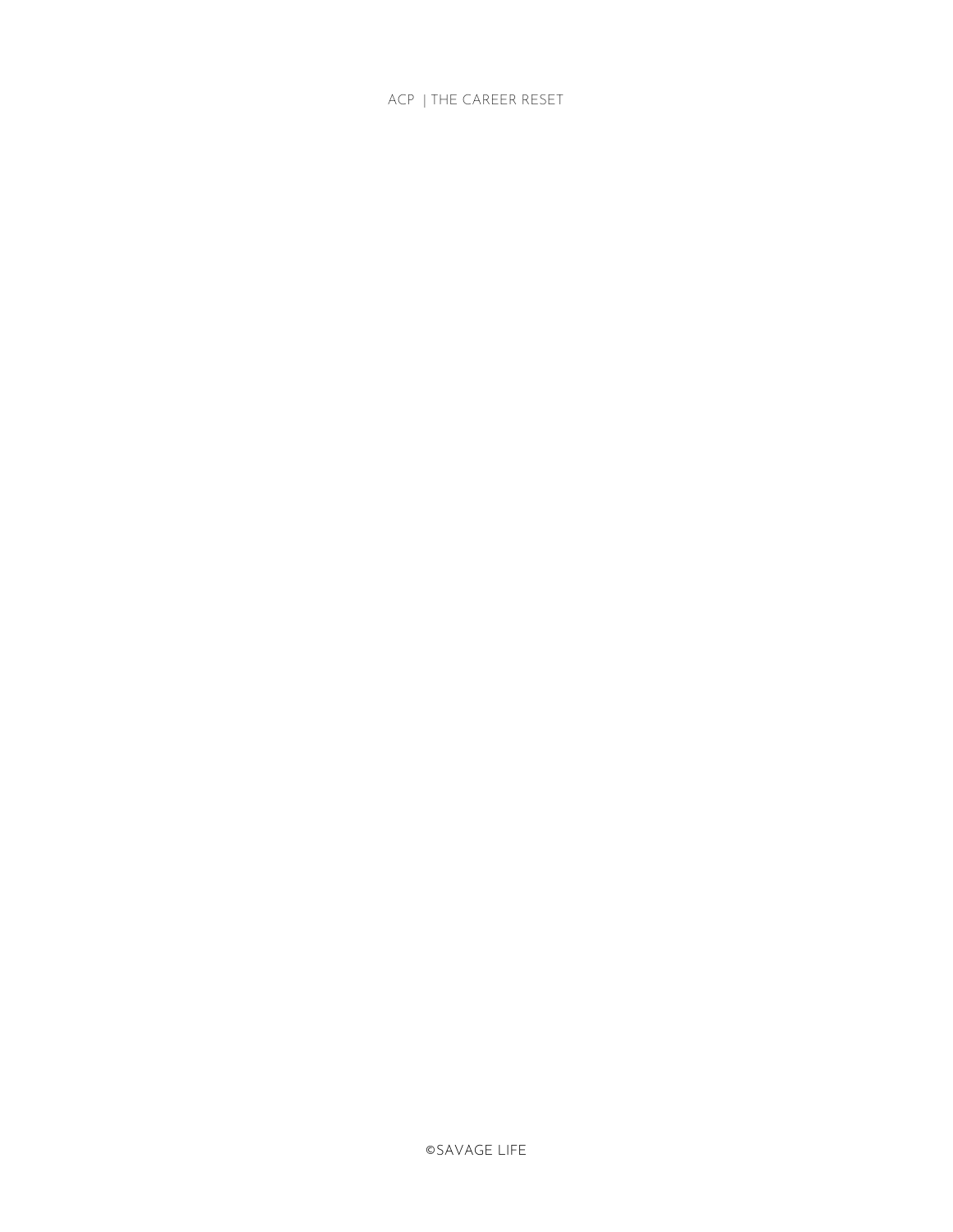ACP | THE CAREER RESET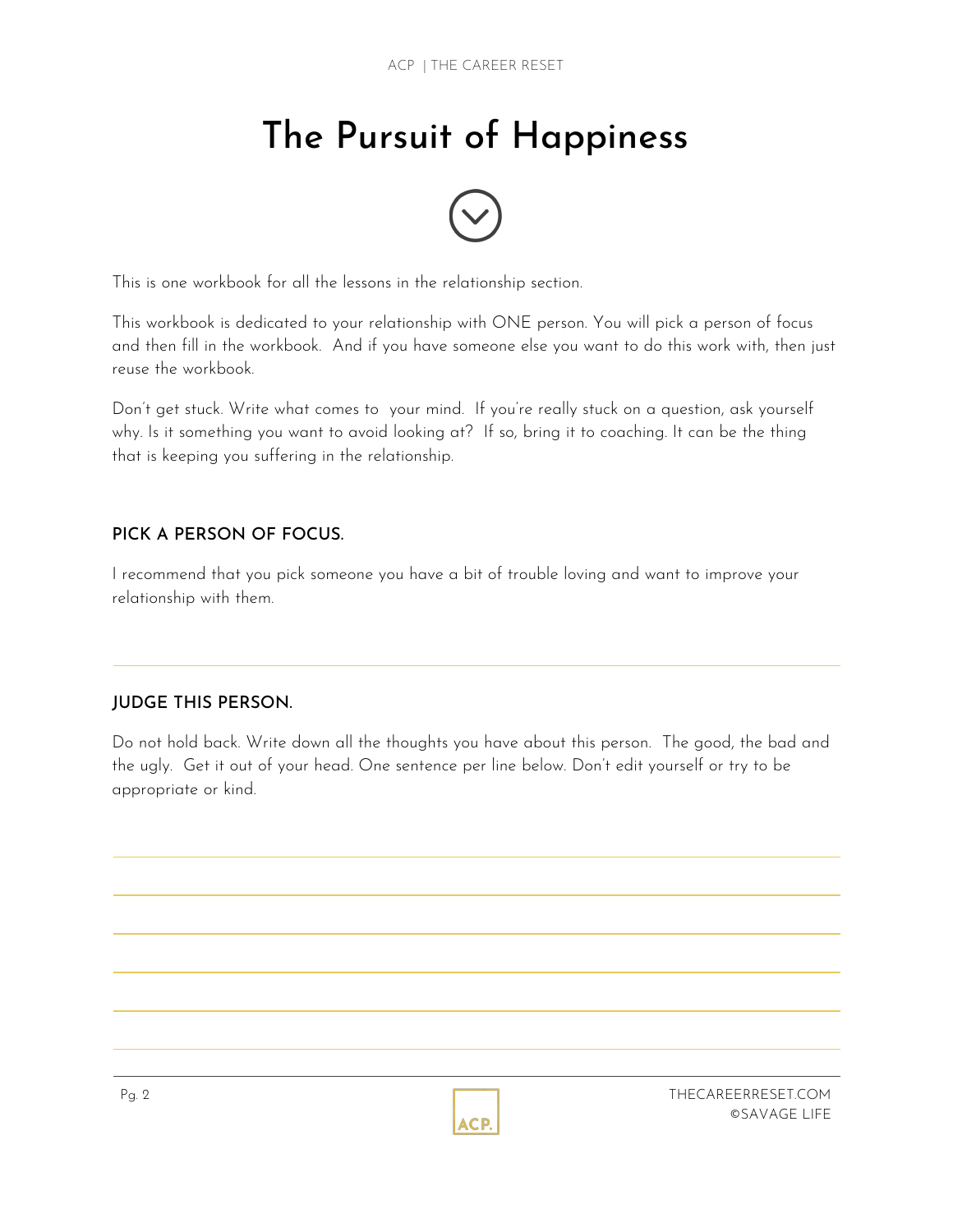# The Pursuit of Happiness



This is one workbook for all the lessons in the relationship section.

This workbook is dedicated to your relationship with ONE person. You will pick a person of focus and then fill in the workbook. And if you have someone else you want to do this work with, then just reuse the workbook.

Don't get stuck. Write what comes to your mind. If you're really stuck on a question, ask yourself why. Is it something you want to avoid looking at? If so, bring it to coaching. It can be the thing that is keeping you suffering in the relationship.

# PICK A PERSON OF FOCUS.

I recommend that you pick someone you have a bit of trouble loving and want to improve your relationship with them.

# JUDGE THIS PERSON.

Do not hold back. Write down all the thoughts you have about this person. The good, the bad and the ugly. Get it out of your head. One sentence per line below. Don't edit yourself or try to be appropriate or kind.

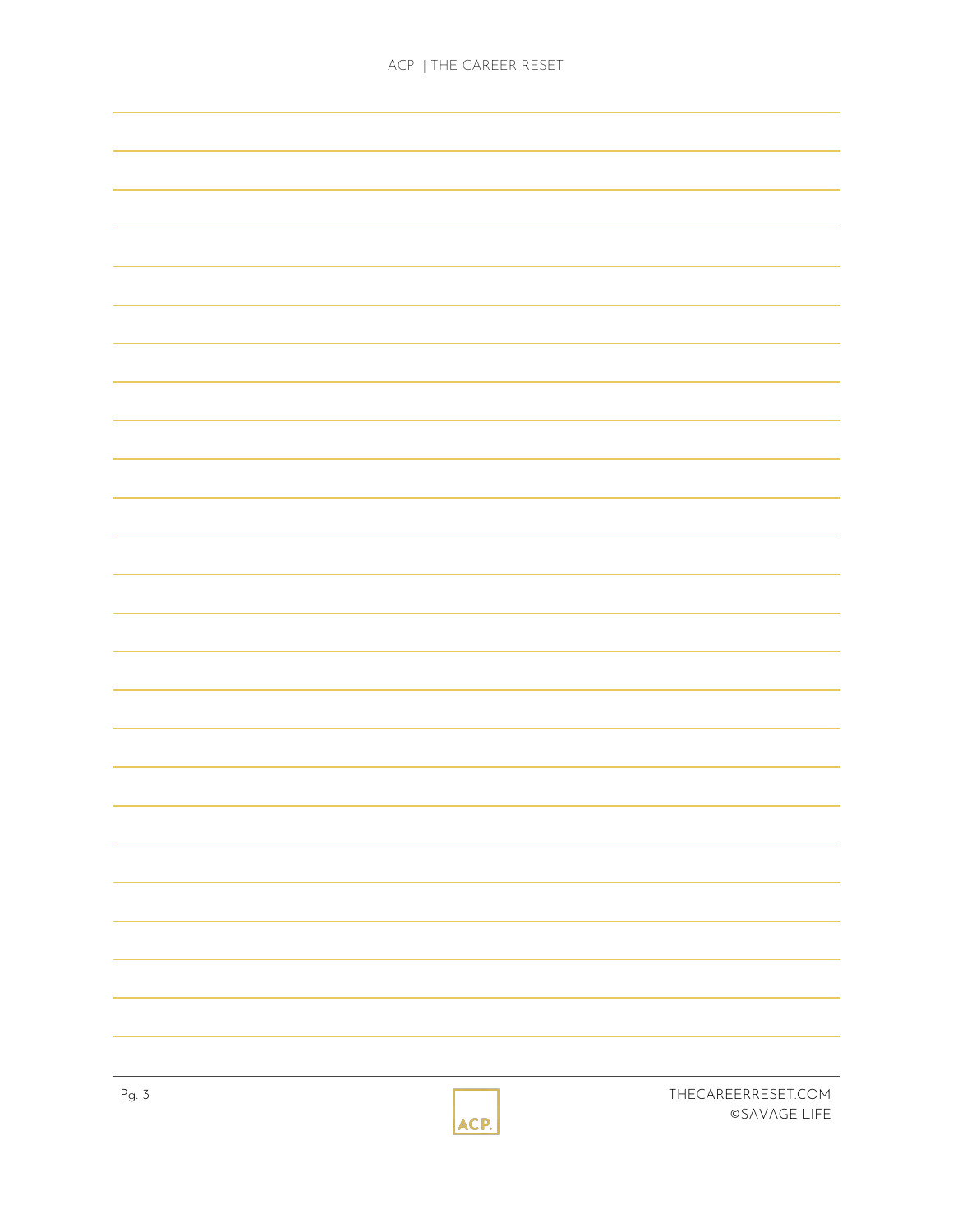| Pg. 3 |      | THECAREERRESET.COM |
|-------|------|--------------------|
|       | ACP. | ©SAVAGE LIFE       |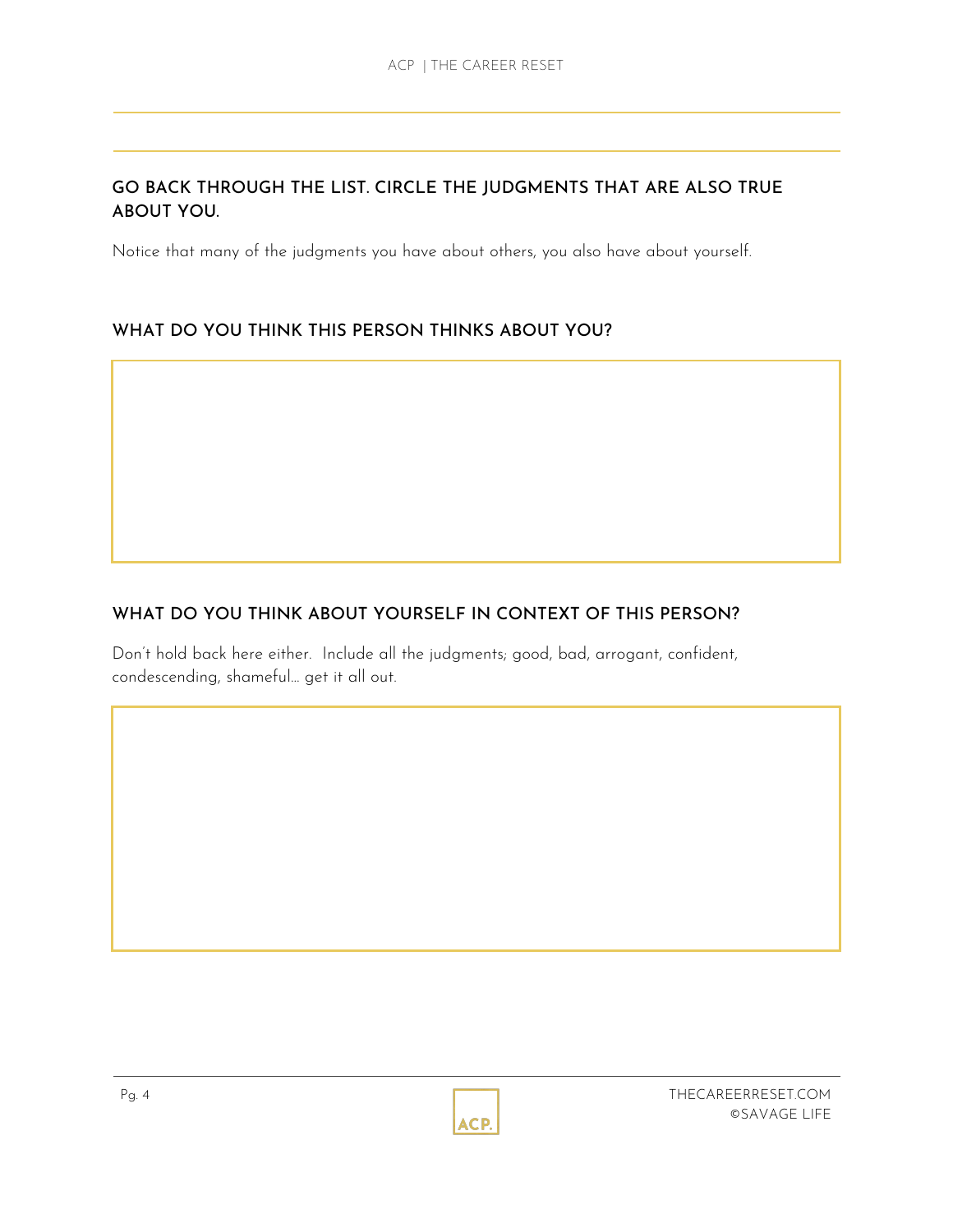# GO BACK THROUGH THE LIST. CIRCLE THE JUDGMENTS THAT ARE ALSO TRUE ABOUT YOU.

Notice that many of the judgments you have about others, you also have about yourself.

# WHAT DO YOU THINK THIS PERSON THINKS ABOUT YOU?

# WHAT DO YOU THINK ABOUT YOURSELF IN CONTEXT OF THIS PERSON?

Don't hold back here either. Include all the judgments; good, bad, arrogant, confident, condescending, shameful… get it all out.

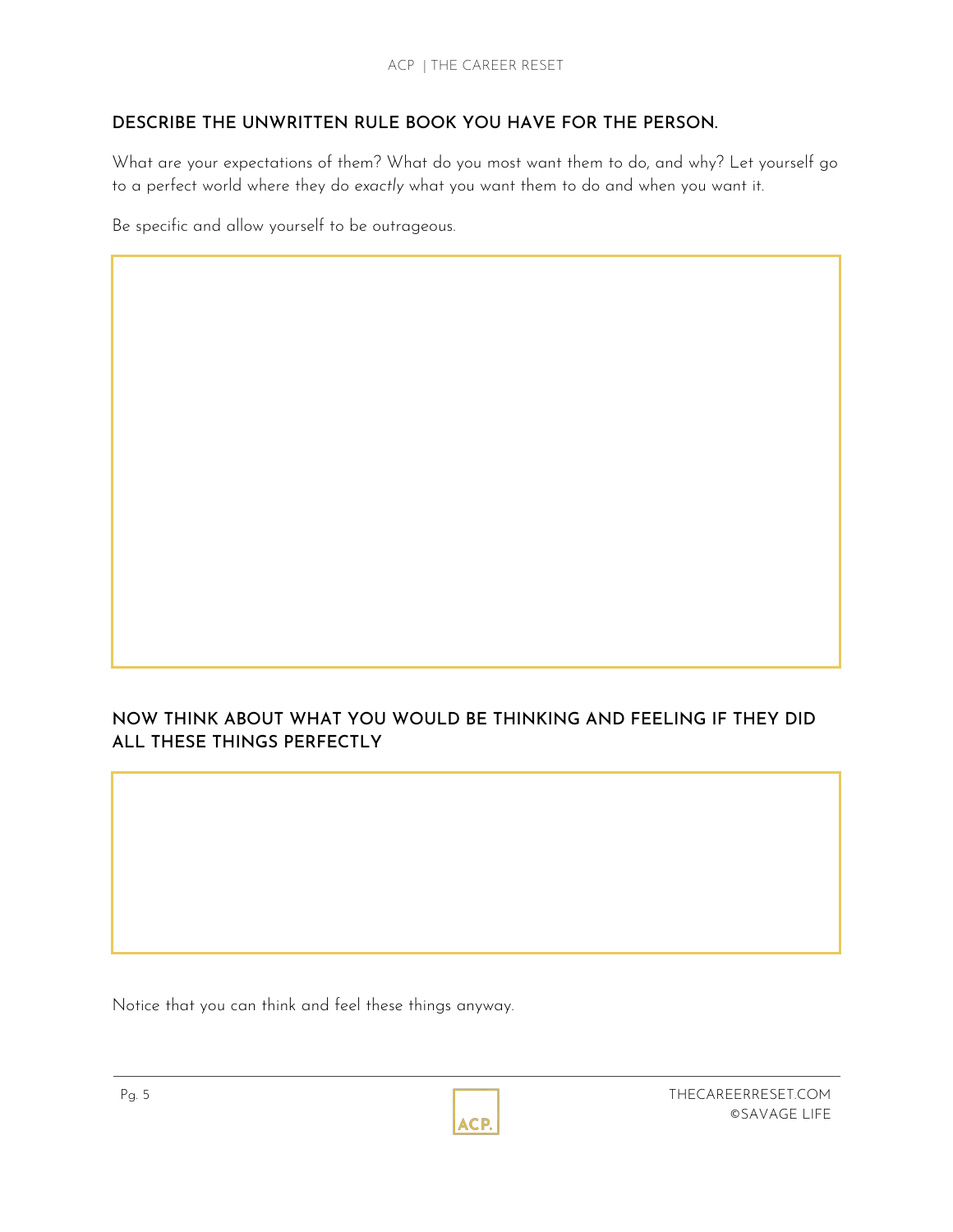#### DESCRIBE THE UNWRITTEN RULE BOOK YOU HAVE FOR THE PERSON.

What are your expectations of them? What do you most want them to do, and why? Let yourself go to a perfect world where they do *exactly* what you want them to do and when you want it.

Be specific and allow yourself to be outrageous.

# NOW THINK ABOUT WHAT YOU WOULD BE THINKING AND FEELING IF THEY DID ALL THESE THINGS PERFECTLY

Notice that you can think and feel these things anyway.

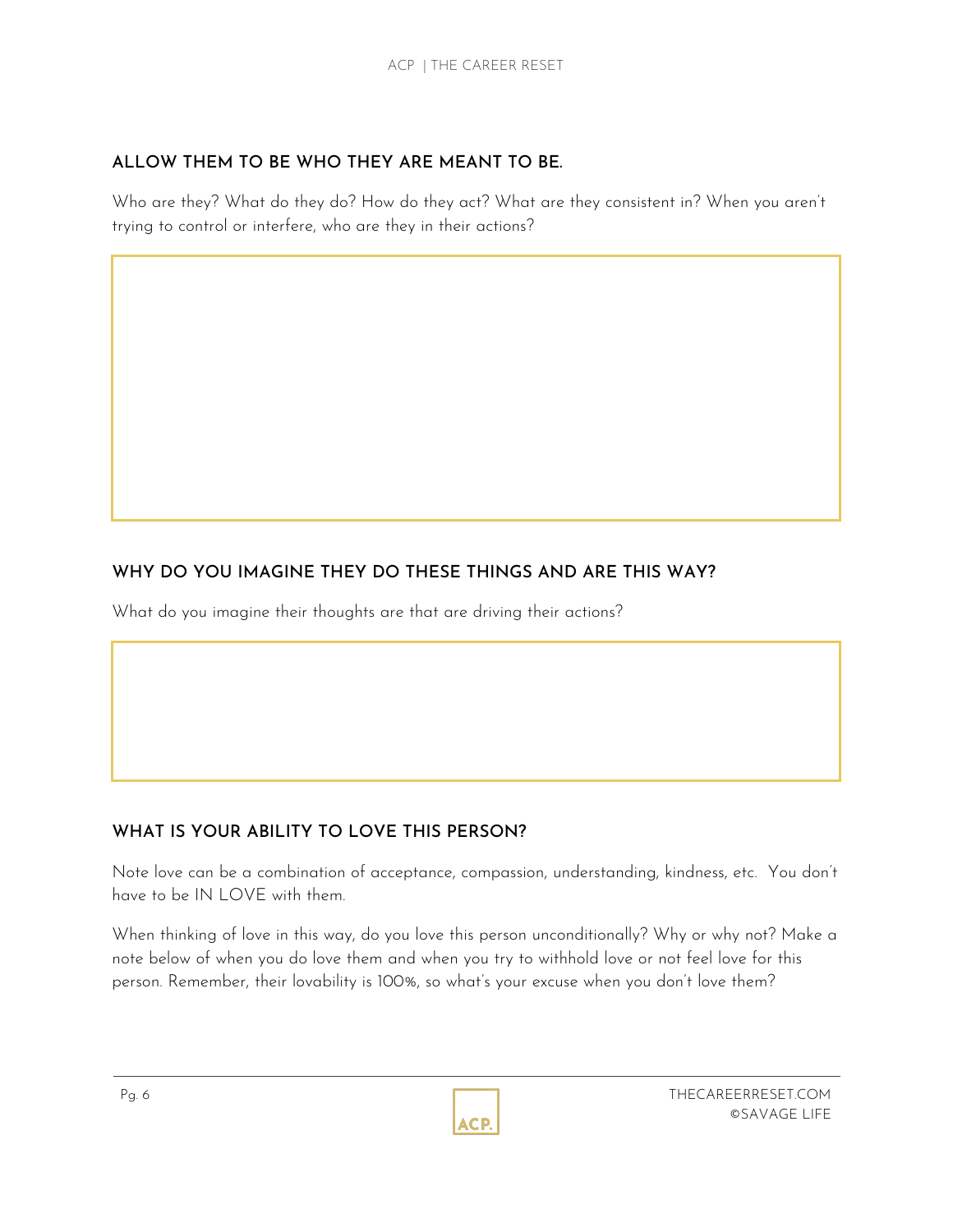## ALLOW THEM TO BE WHO THEY ARE MEANT TO BE.

Who are they? What do they do? How do they act? What are they consistent in? When you aren't trying to control or interfere, who are they in their actions?

# WHY DO YOU IMAGINE THEY DO THESE THINGS AND ARE THIS WAY?

What do you imagine their thoughts are that are driving their actions?

# WHAT IS YOUR ABILITY TO LOVE THIS PERSON?

Note love can be a combination of acceptance, compassion, understanding, kindness, etc. You don't have to be IN LOVE with them.

When thinking of love in this way, do you love this person unconditionally? Why or why not? Make a note below of when you do love them and when you try to withhold love or not feel love for this person. Remember, their lovability is 100%, so what's your excuse when you don't love them?

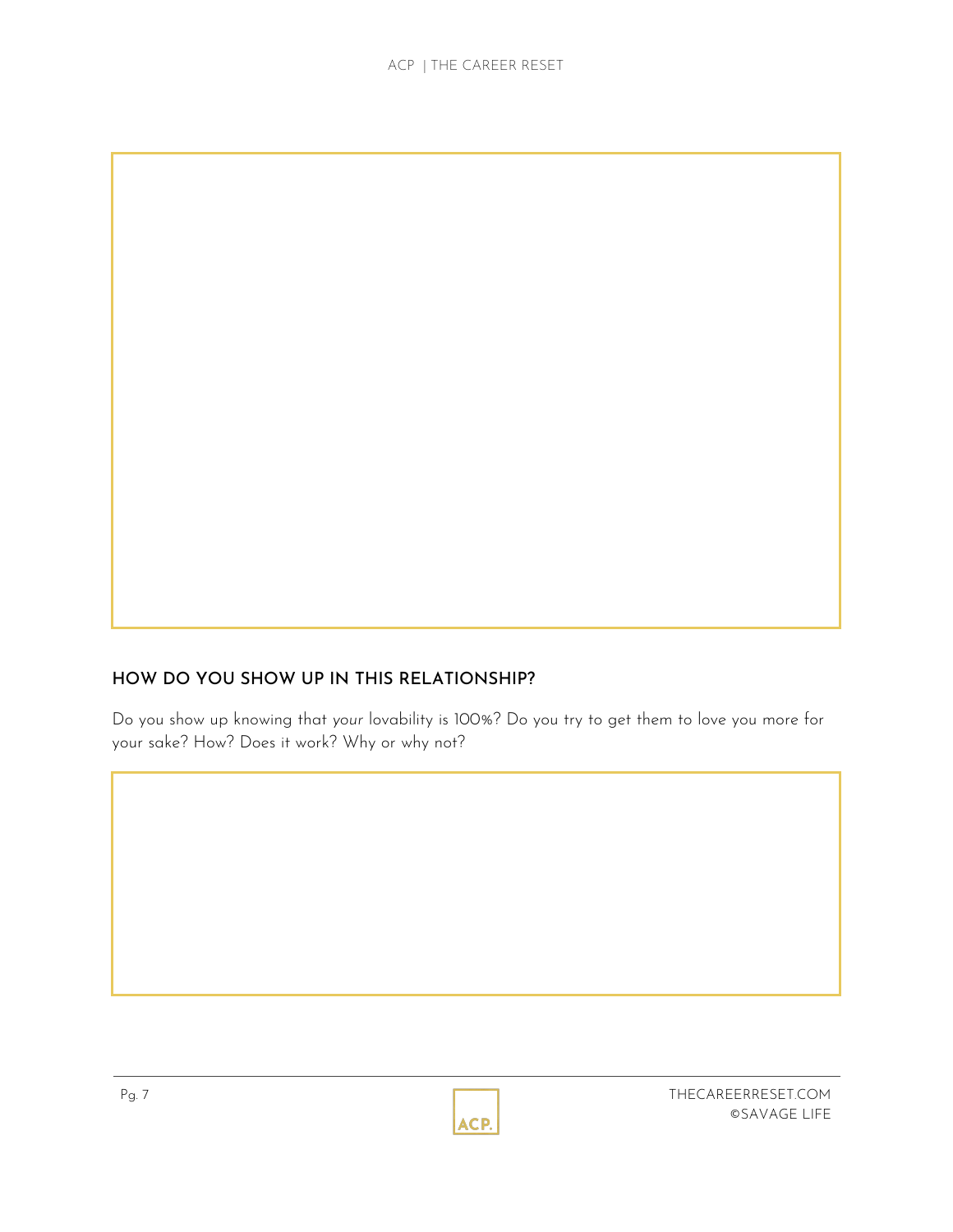# HOW DO YOU SHOW UP IN THIS RELATIONSHIP?

Do you show up knowing that *your* lovability is 100%? Do you try to get them to love you more for your sake? How? Does it work? Why or why not?

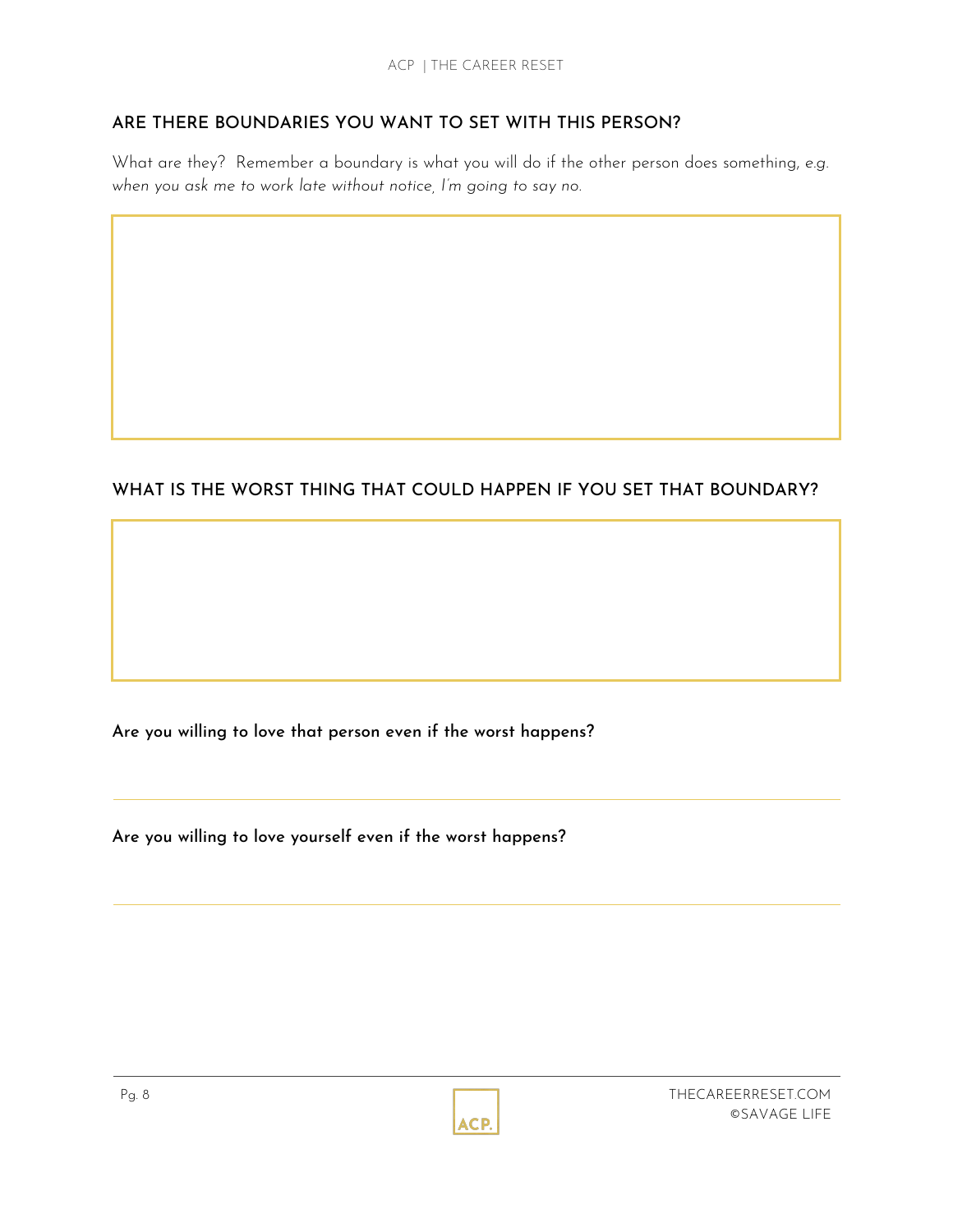#### ARE THERE BOUNDARIES YOU WANT TO SET WITH THIS PERSON?

What are they? Remember a boundary is what you will do if the other person does something, *e.g. when you ask me to work late without notice, I'm going to say no.*

# WHAT IS THE WORST THING THAT COULD HAPPEN IF YOU SET THAT BOUNDARY?

Are you willing to love that person even if the worst happens?

Are you willing to love yourself even if the worst happens?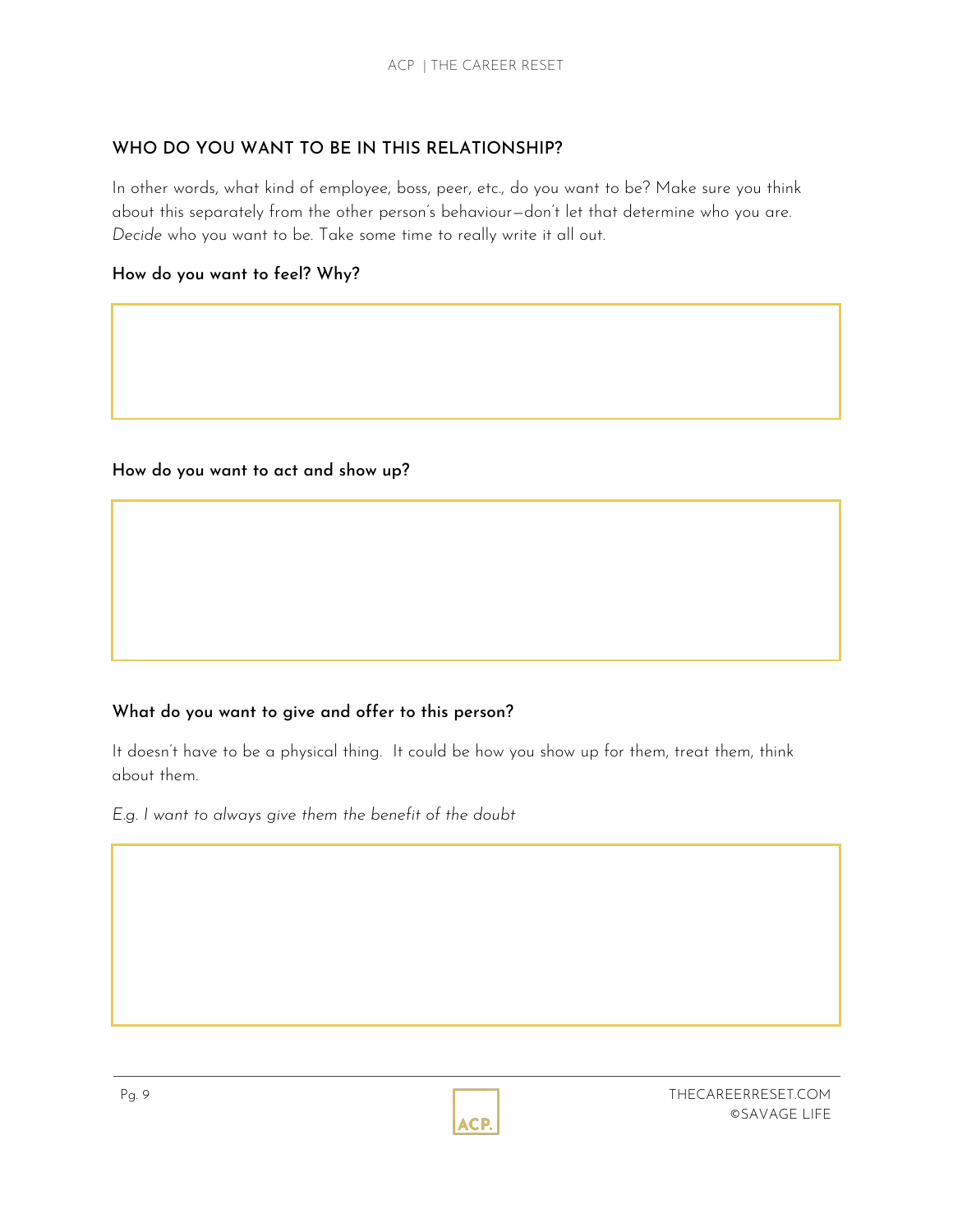## WHO DO YOU WANT TO BE IN THIS RELATIONSHIP?

In other words, what kind of employee, boss, peer, etc., do you want to be? Make sure you think about this separately from the other person's behaviour—don't let that determine who you are. *Decide* who you want to be. Take some time to really write it all out.

#### How do you want to feel? Why?

How do you want to act and show up?

### What do you want to give and offer to this person?

It doesn't have to be a physical thing. It could be how you show up for them, treat them, think about them.

*E.g. I want to always give them the benefit of the doubt*

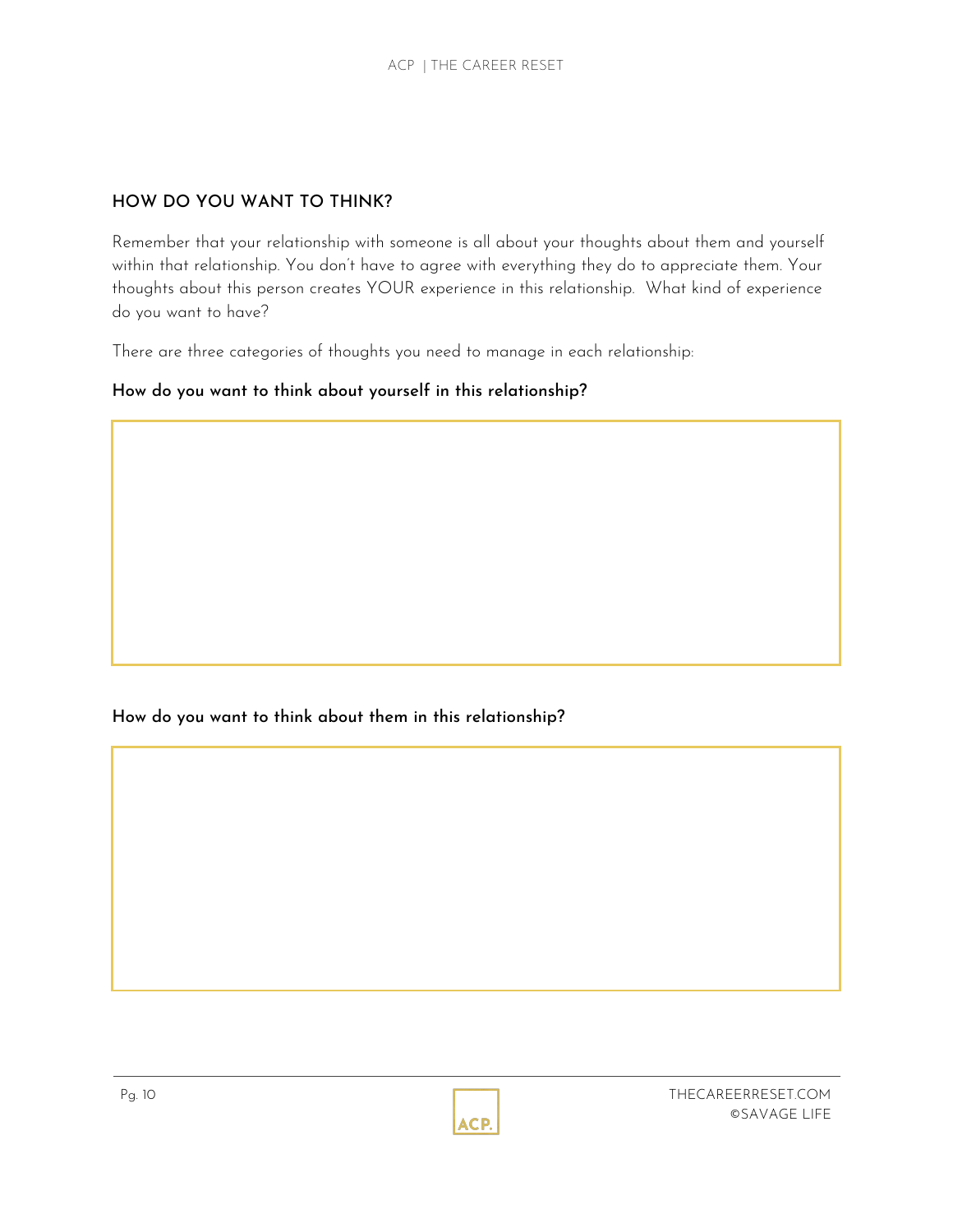#### HOW DO YOU WANT TO THINK?

Remember that your relationship with someone is all about your thoughts about them and yourself within that relationship. You don't have to agree with everything they do to appreciate them. Your thoughts about this person creates YOUR experience in this relationship. What kind of experience do you want to have?

There are three categories of thoughts you need to manage in each relationship:

#### How do you want to think about yourself in this relationship?

How do you want to think about them in this relationship?

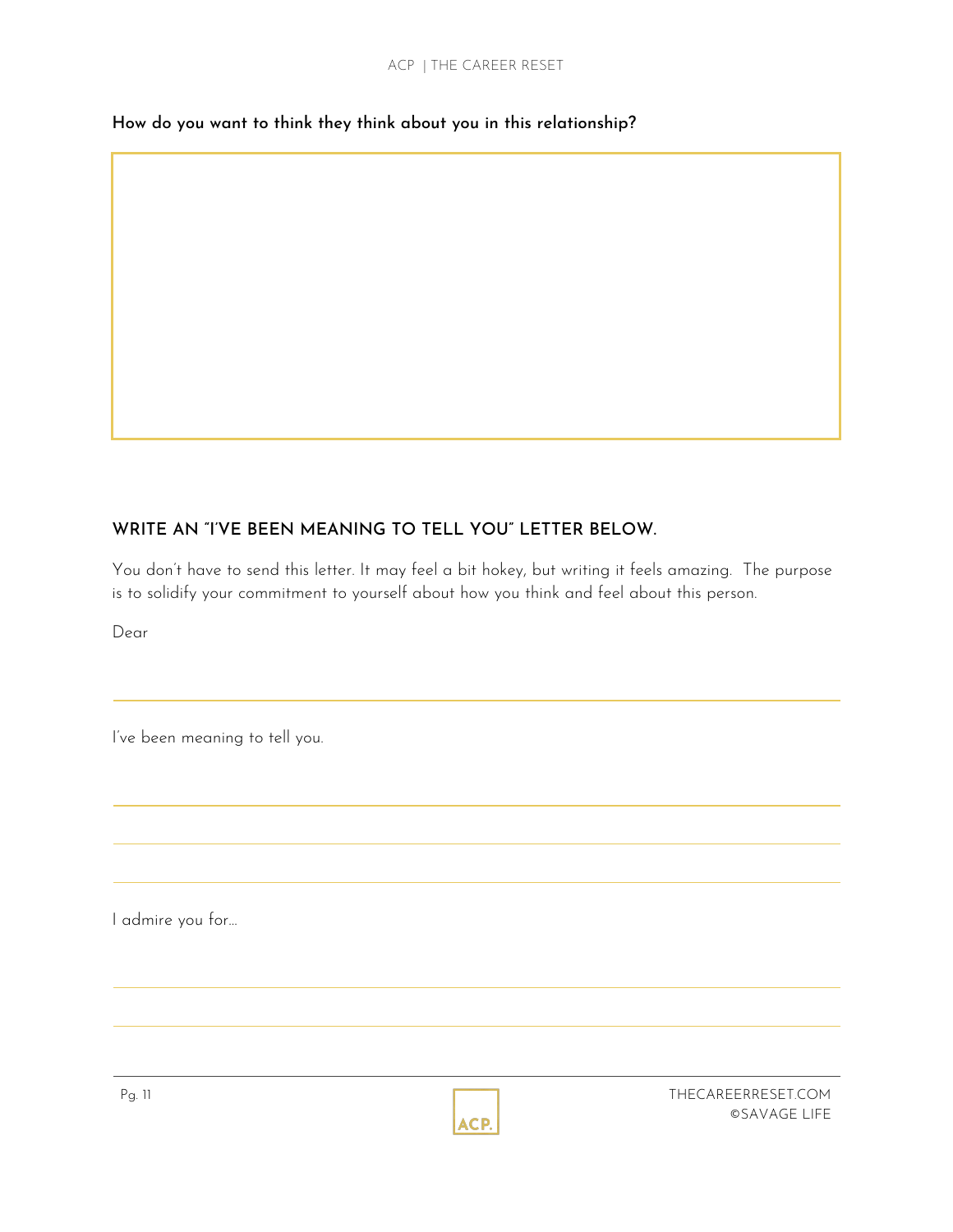How do you want to think they think about you in this relationship?

# WRITE AN "I'VE BEEN MEANING TO TELL YOU" LETTER BELOW.

You don't have to send this letter. It may feel a bit hokey, but writing it feels amazing. The purpose is to solidify your commitment to yourself about how you think and feel about this person.

Dear

I've been meaning to tell you.

I admire you for...

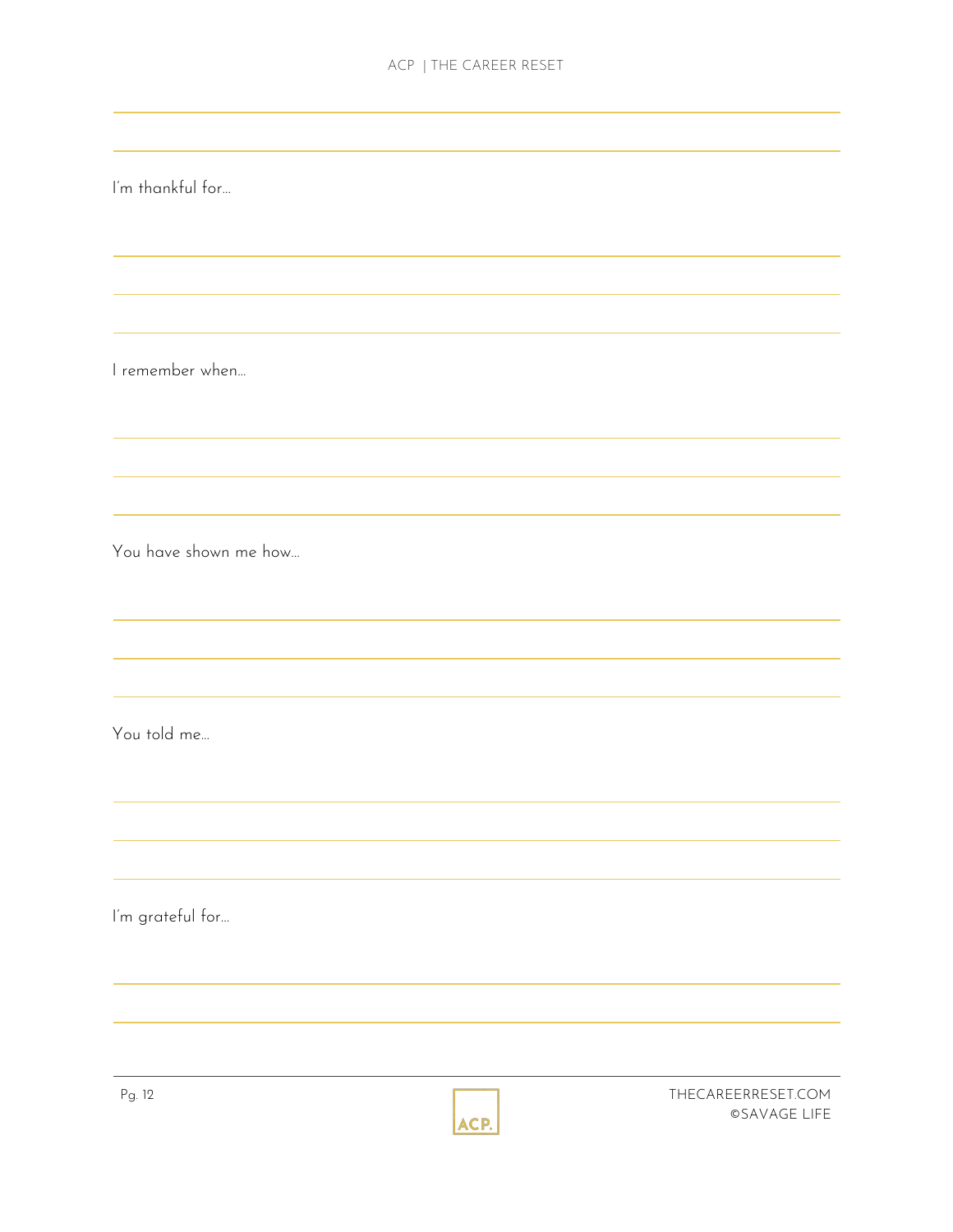#### ACP | THE CAREER RESET

| I'm thankful for      |      |                                    |
|-----------------------|------|------------------------------------|
|                       |      |                                    |
|                       |      |                                    |
| I remember when       |      |                                    |
|                       |      |                                    |
| You have shown me how |      |                                    |
|                       |      |                                    |
| You told me           |      |                                    |
|                       |      |                                    |
| I'm grateful for      |      |                                    |
|                       |      |                                    |
| Pg. 12                | ACP. | THECAREERRESET.COM<br>©SAVAGE LIFE |